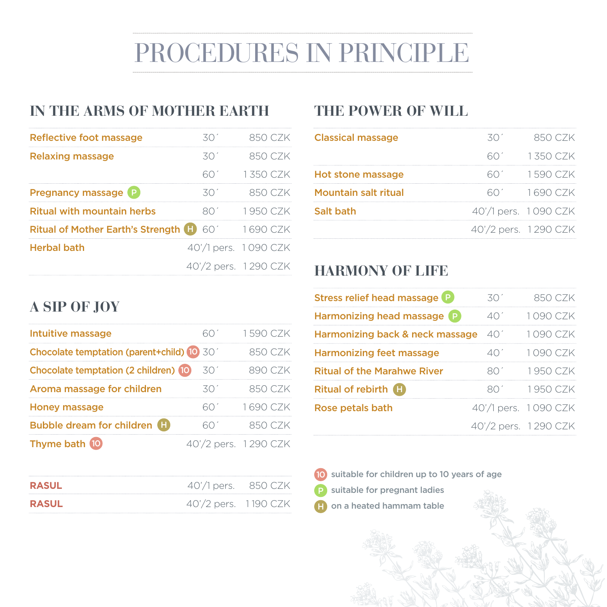# PROCEDURES IN PRINCIPLE

## **IN THE ARMS OF MOTHER EARTH THE POWER OF WILL**

| Reflective foot massage                  |     |                      |
|------------------------------------------|-----|----------------------|
| <b>Relaxing massage</b>                  | スハ′ | 850 C 7K             |
|                                          |     | 1.350 C.ZK           |
| <b>Pregnancy massage P</b>               |     |                      |
| <b>Ritual with mountain herbs</b>        |     | 1950 CZK             |
| Ritual of Mother Earth's Strength (H) 60 |     |                      |
| <b>Herbal bath</b>                       |     | 40'/1 pers. 1090 CZK |
|                                          |     | 40'/2 pers. 1290 CZK |

| <b>Classical massage</b> | 850 CZK              |
|--------------------------|----------------------|
|                          | 1.350 CZK            |
| <b>Hot stone massage</b> | 1590 CZK             |
| Mountain salt ritual     | $1690$ CZK           |
| Salt bath                | 40'/1 pers. 1090 CZK |
|                          | 40'/2 pers. 1290 CZK |

### **HARMONY OF LIFE**

| A SIP OF JOY |  |
|--------------|--|
|--------------|--|

| Intuitive massage                         |                    | 1590 CZK |
|-------------------------------------------|--------------------|----------|
| Chocolate temptation (parent+child) 10 30 |                    |          |
| Chocolate temptation (2 children) (0      |                    |          |
| Aroma massage for children                |                    |          |
| <b>Honey massage</b>                      |                    |          |
| Bubble dream for children <b>H</b>        |                    |          |
| Thyme bath 10                             | 40'/2 pers. 1290 C |          |

| <b>RASUL</b> | 40'/1 pers. 850 CZK  |  |
|--------------|----------------------|--|
| <b>RASUL</b> | 40'/2 pers. 1190 CZK |  |

| Stress relief head massage <sup>p</sup>      | 301                  | 850 CZK              |
|----------------------------------------------|----------------------|----------------------|
| Harmonizing head massage (P)                 | 40'                  | 1090 CZK             |
| Harmonizing back & neck massage $40^{\circ}$ |                      | 1090 CZK             |
| <b>Harmonizing feet massage</b>              | 401                  | 1090 CZK             |
| <b>Ritual of the Marahwe River</b>           | 8U.                  | 1950 CZK             |
| Ritual of rebirth <b>(F)</b>                 | 8U.                  | 1950 CZK             |
| Rose petals bath                             |                      | 40'/1 pers. 1090 CZK |
|                                              | 40'/2 pers. 1290 CZK |                      |

- 10 suitable for children up to 10 years of age
- suitable for pregnant ladies
- on a heated hammam table H